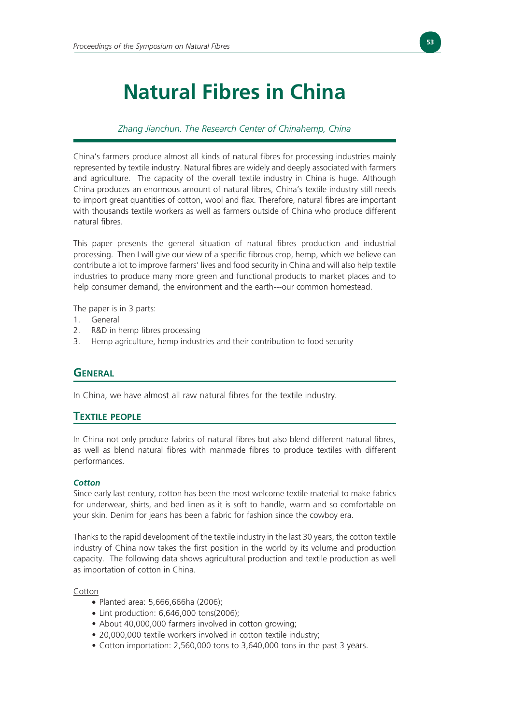# **Natural Fibres in China**

# *Zhang Jianchun. The Research Center of Chinahemp, China*

China's farmers produce almost all kinds of natural fibres for processing industries mainly represented by textile industry. Natural fibres are widely and deeply associated with farmers and agriculture. The capacity of the overall textile industry in China is huge. Although China produces an enormous amount of natural fibres, China's textile industry still needs to import great quantities of cotton, wool and flax. Therefore, natural fibres are important with thousands textile workers as well as farmers outside of China who produce different natural fibres.

This paper presents the general situation of natural fibres production and industrial processing. Then I will give our view of a specific fibrous crop, hemp, which we believe can contribute a lot to improve farmers' lives and food security in China and will also help textile industries to produce many more green and functional products to market places and to help consumer demand, the environment and the earth---our common homestead.

The paper is in 3 parts:

- 1. General
- 2. R&D in hemp fibres processing
- 3. Hemp agriculture, hemp industries and their contribution to food security

# **GENERAL**

In China, we have almost all raw natural fibres for the textile industry.

# **TEXTILE PEOPLE**

In China not only produce fabrics of natural fibres but also blend different natural fibres, as well as blend natural fibres with manmade fibres to produce textiles with different performances.

#### *Cotton*

Since early last century, cotton has been the most welcome textile material to make fabrics for underwear, shirts, and bed linen as it is soft to handle, warm and so comfortable on your skin. Denim for jeans has been a fabric for fashion since the cowboy era.

Thanks to the rapid development of the textile industry in the last 30 years, the cotton textile industry of China now takes the first position in the world by its volume and production capacity. The following data shows agricultural production and textile production as well as importation of cotton in China.

Cotton

- Planted area: 5,666,666ha (2006);
- *•* Lint production: 6,646,000 tons(2006);
- About 40,000,000 farmers involved in cotton growing;
- 20,000,000 textile workers involved in cotton textile industry;
- Cotton importation: 2,560,000 tons to 3,640,000 tons in the past 3 years.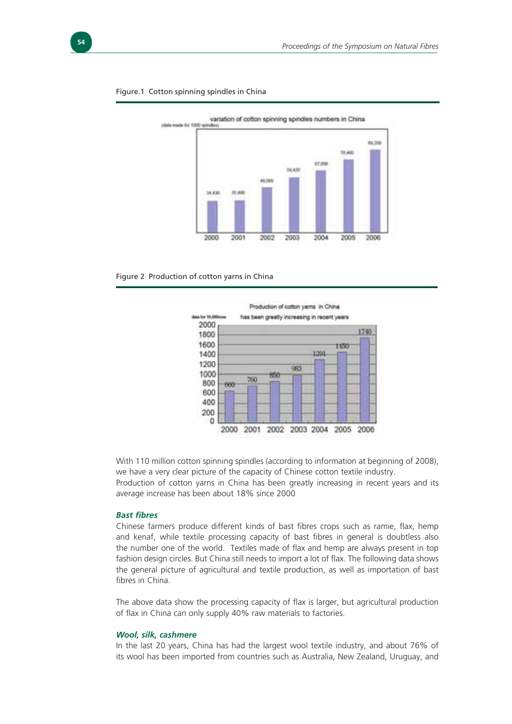

#### Figure.1 Cotton spinning spindles in China





With 110 million cotton spinning spindles (according to information at beginning of 2008), we have a very clear picture of the capacity of Chinese cotton textile industry. Production of cotton yarns in China has been greatly increasing in recent years and its average increase has been about 18% since 2000

#### *Bast fibres*

Chinese farmers produce different kinds of bast fibres crops such as ramie, flax, hemp and kenaf, while textile processing capacity of bast fibres in general is doubtless also the number one of the world. Textiles made of flax and hemp are always present in top fashion design circles. But China still needs to import a lot of flax. The following data shows the general picture of agricultural and textile production, as well as importation of bast fibres in China

The above data show the processing capacity of flax is larger, but agricultural production of flax in China can only supply 40% raw materials to factories.

#### *Wool, silk, cashmere*

In the last 20 years, China has had the largest wool textile industry, and about 76% of its wool has been imported from countries such as Australia, New Zealand, Uruguay, and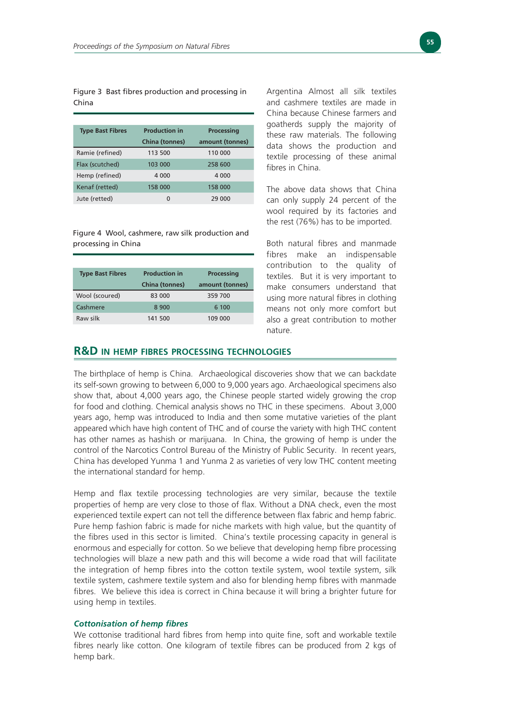Figure 3 Bast fibres production and processing in China

| <b>Type Bast Fibres</b> | <b>Production in</b> | <b>Processing</b> |  |  |
|-------------------------|----------------------|-------------------|--|--|
|                         | China (tonnes)       | amount (tonnes)   |  |  |
| Ramie (refined)         | 113 500              | 110 000           |  |  |
| Flax (scutched)         | 103 000              | 258 600           |  |  |
| Hemp (refined)          | 4 0 0 0              | 4 0 0 0           |  |  |
| Kenaf (retted)          | 158 000              | 158 000           |  |  |
| Jute (retted)           | 0                    | 29 000            |  |  |

Figure 4 Wool, cashmere, raw silk production and processing in China

| <b>Type Bast Fibres</b> | <b>Production in</b><br><b>China (tonnes)</b> | <b>Processing</b><br>amount (tonnes) |
|-------------------------|-----------------------------------------------|--------------------------------------|
| Wool (scoured)          | 83 000                                        | 359 700                              |
| Cashmere                | 8 9 0 0                                       | 6 100                                |
| Raw silk                | 141 500                                       | 109 000                              |

Argentina Almost all silk textiles and cashmere textiles are made in China because Chinese farmers and goatherds supply the majority of these raw materials. The following data shows the production and textile processing of these animal fibres in China

The above data shows that China can only supply 24 percent of the wool required by its factories and the rest (76%) has to be imported.

Both natural fibres and manmade fibres make an indispensable contribution to the quality of textiles. But it is very important to make consumers understand that using more natural fibres in clothing means not only more comfort but also a great contribution to mother nature.

#### **R&D IN HEMP FIBRES PROCESSING TECHNOLOGIES**

The birthplace of hemp is China. Archaeological discoveries show that we can backdate its self-sown growing to between 6,000 to 9,000 years ago. Archaeological specimens also show that, about 4,000 years ago, the Chinese people started widely growing the crop for food and clothing. Chemical analysis shows no THC in these specimens. About 3,000 years ago, hemp was introduced to India and then some mutative varieties of the plant appeared which have high content of THC and of course the variety with high THC content has other names as hashish or marijuana. In China, the growing of hemp is under the control of the Narcotics Control Bureau of the Ministry of Public Security. In recent years, China has developed Yunma 1 and Yunma 2 as varieties of very low THC content meeting the international standard for hemp.

Hemp and flax textile processing technologies are very similar, because the textile properties of hemp are very close to those of flax. Without a DNA check, even the most experienced textile expert can not tell the difference between flax fabric and hemp fabric. Pure hemp fashion fabric is made for niche markets with high value, but the quantity of the fibres used in this sector is limited. China's textile processing capacity in general is enormous and especially for cotton. So we believe that developing hemp fibre processing technologies will blaze a new path and this will become a wide road that will facilitate the integration of hemp fibres into the cotton textile system, wool textile system, silk textile system, cashmere textile system and also for blending hemp fibres with manmade fibres. We believe this idea is correct in China because it will bring a brighter future for using hemp in textiles.

#### *Cottonisation of hemp fibres*

We cottonise traditional hard fibres from hemp into quite fine, soft and workable textile fibres nearly like cotton. One kilogram of textile fibres can be produced from 2 kgs of hemp bark.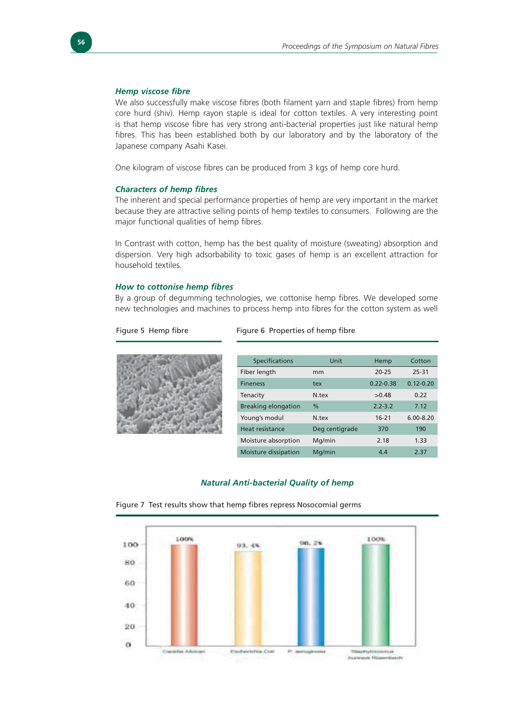#### *Hemp viscose fibre*

We also successfully make viscose fibres (both filament yarn and staple fibres) from hemp core hurd (shiv). Hemp rayon staple is ideal for cotton textiles. A very interesting point is that hemp viscose fibre has very strong anti-bacterial properties just like natural hemp fibres. This has been established both by our laboratory and by the laboratory of the Japanese company Asahi Kasei.

One kilogram of viscose fibres can be produced from 3 kgs of hemp core hurd.

#### *Characters of hemp fibres*

The inherent and special performance properties of hemp are very important in the market because they are attractive selling points of hemp textiles to consumers. Following are the major functional qualities of hemp fibres.

In Contrast with cotton, hemp has the best quality of moisture (sweating) absorption and dispersion. Very high adsorbability to toxic gases of hemp is an excellent attraction for household textiles.

#### *How to cottonise hemp fibres*

By a group of degumming technologies, we cottonise hemp fibres. We developed some new technologies and machines to process hemp into fibres for the cotton system as well

Figure 5 Hemp fibre Figure 6 Properties of hemp fibre



| <b>Specifications</b>      | Unit           | Hemp          | Cotton        |
|----------------------------|----------------|---------------|---------------|
| Fiber length               | mm             | $20 - 25$     | 25-31         |
| <b>Fineness</b>            | tex            | $0.22 - 0.38$ | $0.12 - 0.20$ |
| Tenacity                   | N tex          | >0.48         | 0.22          |
| <b>Breaking elongation</b> | $\frac{0}{0}$  | $2.2 - 3.2$   | 7.12          |
| Young's modul              | N.tex          | $16 - 21$     | $6.00 - 8.20$ |
| Heat resistance            | Deg centigrade | 370           | 190           |
| Moisture absorption        | Mg/min         | 2.18          | 1.33          |
| Moisture dissipation       | Ma/min         | 4.4           | 2.37          |

#### *Natural Anti-bacterial Quality of hemp*



Figure 7 Test results show that hemp fibres repress Nosocomial germs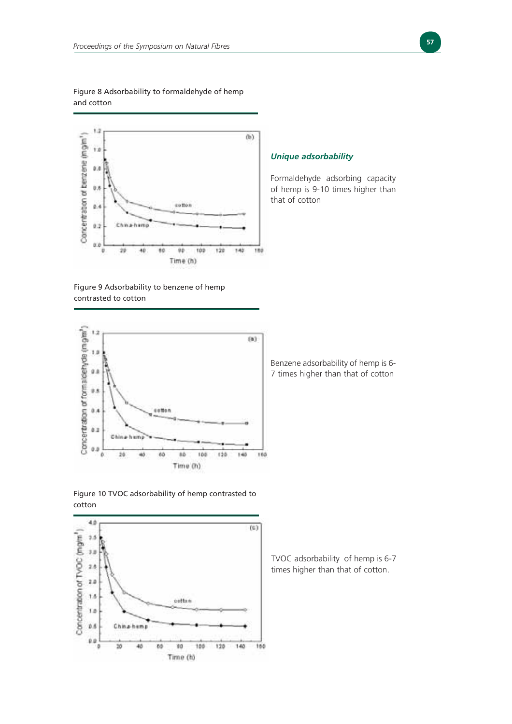#### Figure 8 Adsorbability to formaldehyde of hemp and cotton



## Figure 9 Adsorbability to benzene of hemp contrasted to cotton



Benzene adsorbability of hemp is 6- 7 times higher than that of cotton

### Figure 10 TVOC adsorbability of hemp contrasted to cotton



TVOC adsorbability of hemp is 6-7 times higher than that of cotton.

# *Unique adsorbability*

Formaldehyde adsorbing capacity of hemp is 9-10 times higher than that of cotton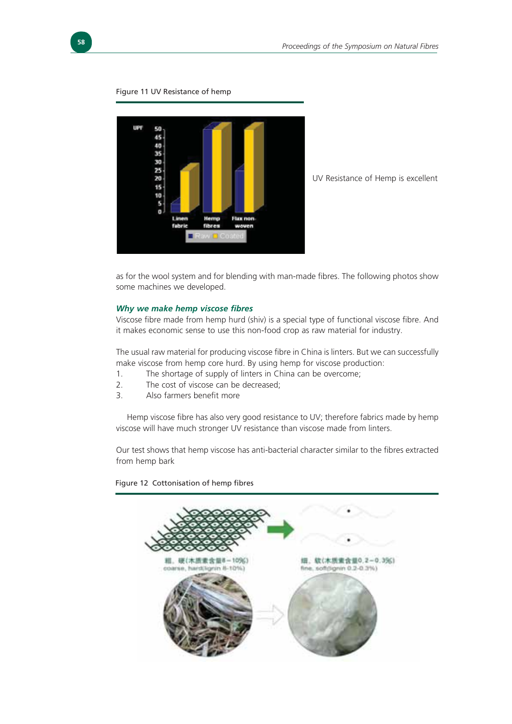



UV Resistance of Hemp is excellent

as for the wool system and for blending with man-made fibres. The following photos show some machines we developed.

#### *Why we make hemp viscose fibres*

Viscose fibre made from hemp hurd (shiv) is a special type of functional viscose fibre. And it makes economic sense to use this non-food crop as raw material for industry.

The usual raw material for producing viscose fibre in China is linters. But we can successfully make viscose from hemp core hurd. By using hemp for viscose production:

- 1. The shortage of supply of linters in China can be overcome;
- 2. The cost of viscose can be decreased;
- 3. Also farmers benefit more

Hemp viscose fibre has also very good resistance to UV; therefore fabrics made by hemp viscose will have much stronger UV resistance than viscose made from linters.

Our test shows that hemp viscose has anti-bacterial character similar to the fibres extracted from hemp bark



Figure 12 Cottonisation of hemp fibres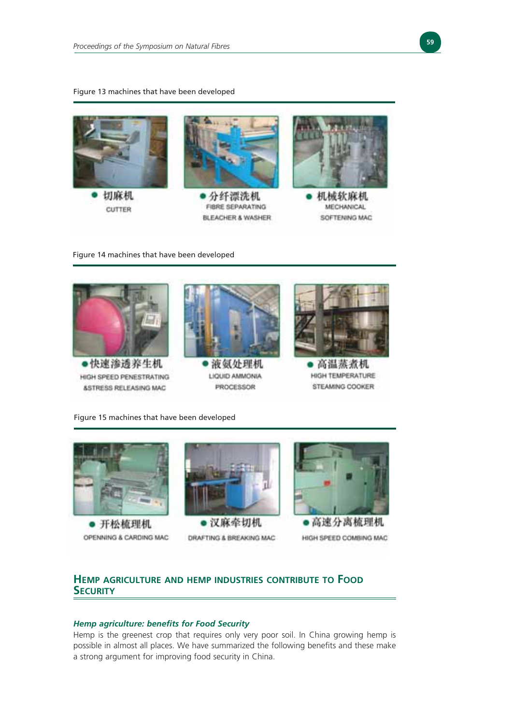#### Figure 13 machines that have been developed



**CUTTER** 



FIBRE SEPARATING BLEACHER & WASHER



机械软麻机 **MECHANICAL** SOFTENING MAC

#### Figure 14 machines that have been developed



Figure 15 machines that have been developed



● 开松梳理机 OPENNING & CARDING MAC



DRAFTING & BREAKING MAC



●高速分离梳理机

HIGH SPEED COMBING MAC

# **HEMP AGRICULTURE AND HEMP INDUSTRIES CONTRIBUTE TO FOOD SECURITY**

#### *Hemp agriculture: benefits for Food Security*

Hemp is the greenest crop that requires only very poor soil. In China growing hemp is possible in almost all places. We have summarized the following benefits and these make a strong argument for improving food security in China.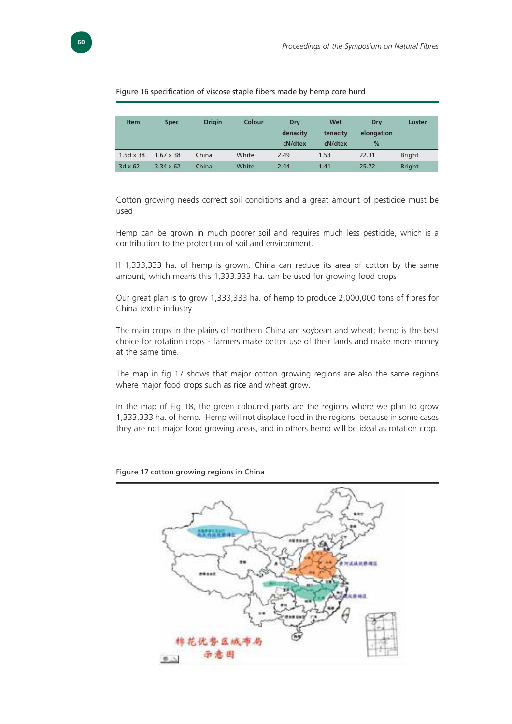

#### Figure 16 specification of viscose staple fibers made by hemp core hurd

| <b>Item</b>      | <b>Spec</b>      | Origin | Colour | Dry      | Wet      | Drv        | Luster        |
|------------------|------------------|--------|--------|----------|----------|------------|---------------|
|                  |                  |        |        | denacity | tenacity | elongation |               |
|                  |                  |        |        | cN/dtex  | cN/dtex  | %          |               |
| $1.5d \times 38$ | $1.67 \times 38$ | China  | White  | 2.49     | 1.53     | 22.31      | <b>Bright</b> |
| $3d \times 62$   | $3.34 \times 62$ | China  | White  | 2.44     | 1.41     | 25.72      | <b>Bright</b> |

Cotton growing needs correct soil conditions and a great amount of pesticide must be used

Hemp can be grown in much poorer soil and requires much less pesticide, which is a contribution to the protection of soil and environment.

If 1,333,333 ha. of hemp is grown, China can reduce its area of cotton by the same amount, which means this 1,333.333 ha. can be used for growing food crops!

Our great plan is to grow 1,333,333 ha. of hemp to produce 2,000,000 tons of fibres for China textile industry

The main crops in the plains of northern China are soybean and wheat; hemp is the best choice for rotation crops - farmers make better use of their lands and make more money at the same time.

The map in fig 17 shows that major cotton growing regions are also the same regions where major food crops such as rice and wheat grow.

In the map of Fig 18, the green coloured parts are the regions where we plan to grow 1,333,333 ha. of hemp. Hemp will not displace food in the regions, because in some cases they are not major food growing areas, and in others hemp will be ideal as rotation crop.



Figure 17 cotton growing regions in China